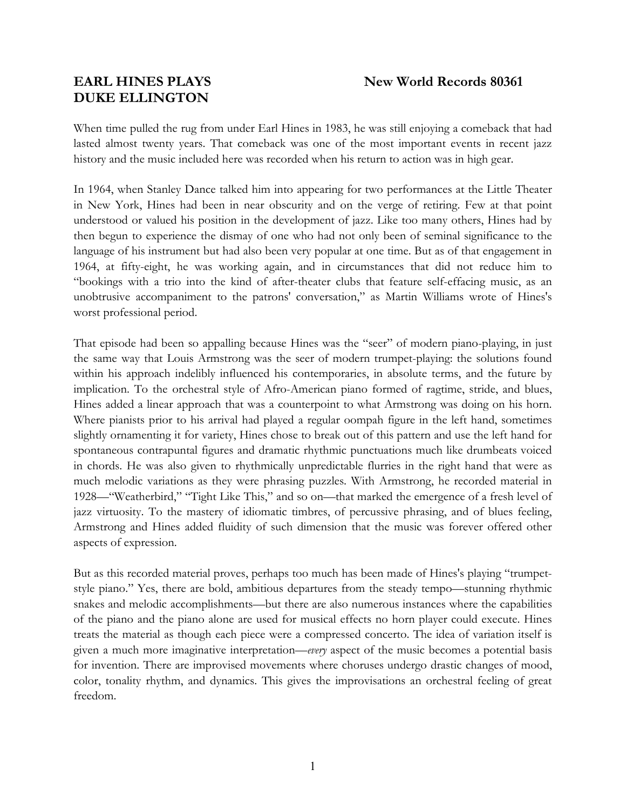# **DUKE ELLINGTON**

When time pulled the rug from under Earl Hines in 1983, he was still enjoying a comeback that had lasted almost twenty years. That comeback was one of the most important events in recent jazz history and the music included here was recorded when his return to action was in high gear.

In 1964, when Stanley Dance talked him into appearing for two performances at the Little Theater in New York, Hines had been in near obscurity and on the verge of retiring. Few at that point understood or valued his position in the development of jazz. Like too many others, Hines had by then begun to experience the dismay of one who had not only been of seminal significance to the language of his instrument but had also been very popular at one time. But as of that engagement in 1964, at fifty-eight, he was working again, and in circumstances that did not reduce him to "bookings with a trio into the kind of after-theater clubs that feature self-effacing music, as an unobtrusive accompaniment to the patrons' conversation," as Martin Williams wrote of Hines's worst professional period.

That episode had been so appalling because Hines was the "seer" of modern piano-playing, in just the same way that Louis Armstrong was the seer of modern trumpet-playing: the solutions found within his approach indelibly influenced his contemporaries, in absolute terms, and the future by implication. To the orchestral style of Afro-American piano formed of ragtime, stride, and blues, Hines added a linear approach that was a counterpoint to what Armstrong was doing on his horn. Where pianists prior to his arrival had played a regular oompah figure in the left hand, sometimes slightly ornamenting it for variety, Hines chose to break out of this pattern and use the left hand for spontaneous contrapuntal figures and dramatic rhythmic punctuations much like drumbeats voiced in chords. He was also given to rhythmically unpredictable flurries in the right hand that were as much melodic variations as they were phrasing puzzles. With Armstrong, he recorded material in 1928—"Weatherbird," "Tight Like This," and so on—that marked the emergence of a fresh level of jazz virtuosity. To the mastery of idiomatic timbres, of percussive phrasing, and of blues feeling, Armstrong and Hines added fluidity of such dimension that the music was forever offered other aspects of expression.

But as this recorded material proves, perhaps too much has been made of Hines's playing "trumpetstyle piano." Yes, there are bold, ambitious departures from the steady tempo—stunning rhythmic snakes and melodic accomplishments—but there are also numerous instances where the capabilities of the piano and the piano alone are used for musical effects no horn player could execute. Hines treats the material as though each piece were a compressed concerto. The idea of variation itself is given a much more imaginative interpretation—*every* aspect of the music becomes a potential basis for invention. There are improvised movements where choruses undergo drastic changes of mood, color, tonality rhythm, and dynamics. This gives the improvisations an orchestral feeling of great freedom.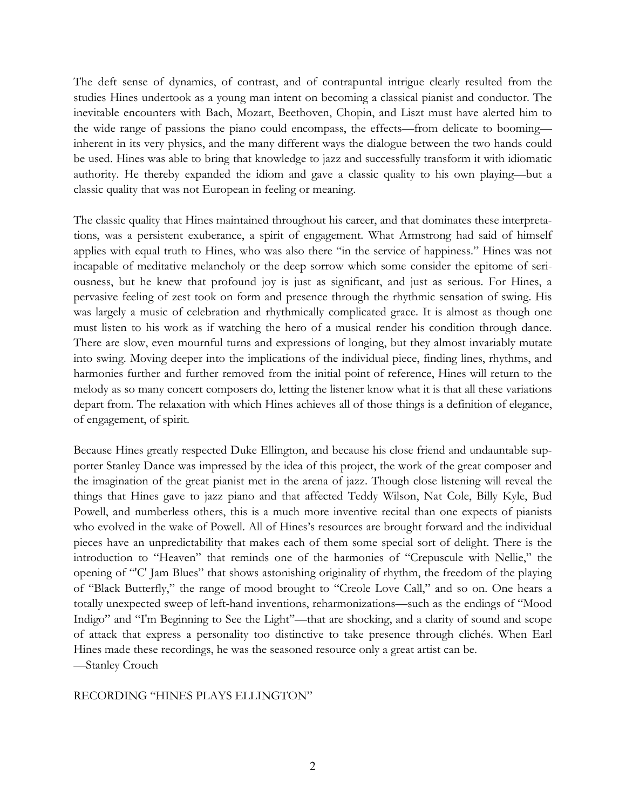The deft sense of dynamics, of contrast, and of contrapuntal intrigue clearly resulted from the studies Hines undertook as a young man intent on becoming a classical pianist and conductor. The inevitable encounters with Bach, Mozart, Beethoven, Chopin, and Liszt must have alerted him to the wide range of passions the piano could encompass, the effects—from delicate to booming inherent in its very physics, and the many different ways the dialogue between the two hands could be used. Hines was able to bring that knowledge to jazz and successfully transform it with idiomatic authority. He thereby expanded the idiom and gave a classic quality to his own playing—but a classic quality that was not European in feeling or meaning.

The classic quality that Hines maintained throughout his career, and that dominates these interpretations, was a persistent exuberance, a spirit of engagement. What Armstrong had said of himself applies with equal truth to Hines, who was also there "in the service of happiness." Hines was not incapable of meditative melancholy or the deep sorrow which some consider the epitome of seriousness, but he knew that profound joy is just as significant, and just as serious. For Hines, a pervasive feeling of zest took on form and presence through the rhythmic sensation of swing. His was largely a music of celebration and rhythmically complicated grace. It is almost as though one must listen to his work as if watching the hero of a musical render his condition through dance. There are slow, even mournful turns and expressions of longing, but they almost invariably mutate into swing. Moving deeper into the implications of the individual piece, finding lines, rhythms, and harmonies further and further removed from the initial point of reference, Hines will return to the melody as so many concert composers do, letting the listener know what it is that all these variations depart from. The relaxation with which Hines achieves all of those things is a definition of elegance, of engagement, of spirit.

Because Hines greatly respected Duke Ellington, and because his close friend and undauntable supporter Stanley Dance was impressed by the idea of this project, the work of the great composer and the imagination of the great pianist met in the arena of jazz. Though close listening will reveal the things that Hines gave to jazz piano and that affected Teddy Wilson, Nat Cole, Billy Kyle, Bud Powell, and numberless others, this is a much more inventive recital than one expects of pianists who evolved in the wake of Powell. All of Hines's resources are brought forward and the individual pieces have an unpredictability that makes each of them some special sort of delight. There is the introduction to "Heaven" that reminds one of the harmonies of "Crepuscule with Nellie," the opening of "'C' Jam Blues" that shows astonishing originality of rhythm, the freedom of the playing of "Black Butterfly," the range of mood brought to "Creole Love Call," and so on. One hears a totally unexpected sweep of left-hand inventions, reharmonizations—such as the endings of "Mood Indigo" and "I'm Beginning to See the Light"—that are shocking, and a clarity of sound and scope of attack that express a personality too distinctive to take presence through clichés. When Earl Hines made these recordings, he was the seasoned resource only a great artist can be. —Stanley Crouch

## RECORDING "HINES PLAYS ELLINGTON"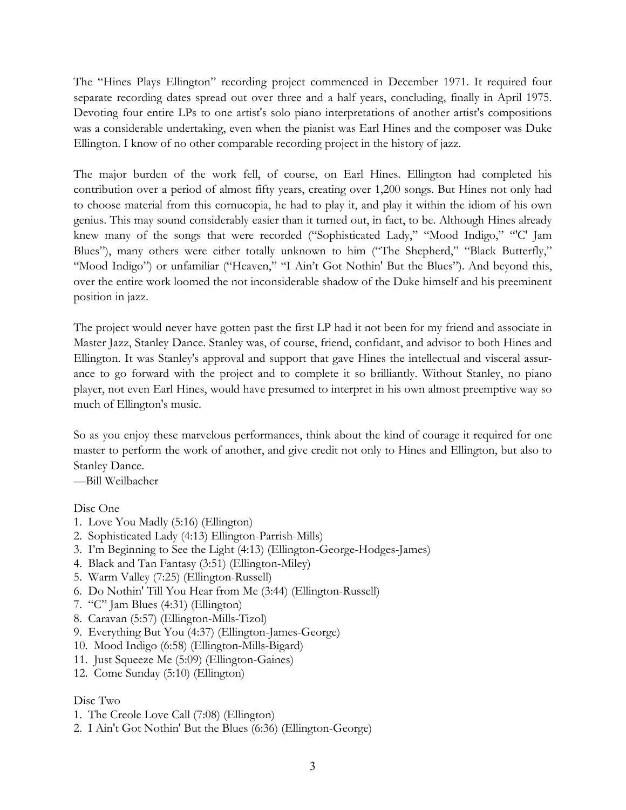The "Hines Plays Ellington" recording project commenced in December 1971. It required four separate recording dates spread out over three and a half years, concluding, finally in April 1975. Devoting four entire LPs to one artist's solo piano interpretations of another artist's compositions was a considerable undertaking, even when the pianist was Earl Hines and the composer was Duke Ellington. I know of no other comparable recording project in the history of jazz.

The major burden of the work fell, of course, on Earl Hines. Ellington had completed his contribution over a period of almost fifty years, creating over 1,200 songs. But Hines not only had to choose material from this cornucopia, he had to play it, and play it within the idiom of his own genius. This may sound considerably easier than it turned out, in fact, to be. Although Hines already knew many of the songs that were recorded ("Sophisticated Lady," "Mood Indigo," "'C' Jam Blues"), many others were either totally unknown to him ("The Shepherd," "Black Butterfly," "Mood Indigo") or unfamiliar ("Heaven," "I Ain't Got Nothin' But the Blues"). And beyond this, over the entire work loomed the not inconsiderable shadow of the Duke himself and his preeminent position in jazz.

The project would never have gotten past the first LP had it not been for my friend and associate in Master Jazz, Stanley Dance. Stanley was, of course, friend, confidant, and advisor to both Hines and Ellington. It was Stanley's approval and support that gave Hines the intellectual and visceral assurance to go forward with the project and to complete it so brilliantly. Without Stanley, no piano player, not even Earl Hines, would have presumed to interpret in his own almost preemptive way so much of Ellington's music.

So as you enjoy these marvelous performances, think about the kind of courage it required for one master to perform the work of another, and give credit not only to Hines and Ellington, but also to Stanley Dance.

—Bill Weilbacher

Disc One

- 1. Love You Madly (5:16) (Ellington)
- 2. Sophisticated Lady (4:13) Ellington-Parrish-Mills)
- 3. I'm Beginning to See the Light (4:13) (Ellington-George-Hodges-James)
- 4. Black and Tan Fantasy (3:51) (Ellington-Miley)
- 5. Warm Valley (7:25) (Ellington-Russell)
- 6. Do Nothin' Till You Hear from Me (3:44) (Ellington-Russell)
- 7. "C" Jam Blues (4:31) (Ellington)
- 8. Caravan (5:57) (Ellington-Mills-Tizol)
- 9. Everything But You (4:37) (Ellington-James-George)
- 10. Mood Indigo (6:58) (Ellington-Mills-Bigard)
- 11. Just Squeeze Me (5:09) (Ellington-Gaines)
- 12. Come Sunday (5:10) (Ellington)

## Disc Two

- 1. The Creole Love Call (7:08) (Ellington)
- 2. I Ain't Got Nothin' But the Blues (6:36) (Ellington-George)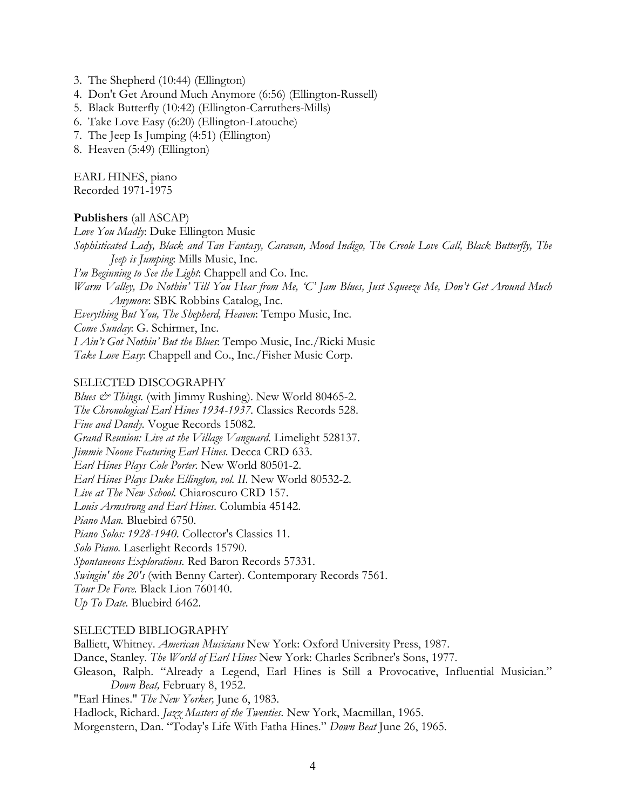- 3. The Shepherd (10:44) (Ellington)
- 4. Don't Get Around Much Anymore (6:56) (Ellington-Russell)
- 5. Black Butterfly (10:42) (Ellington-Carruthers-Mills)
- 6. Take Love Easy (6:20) (Ellington-Latouche)
- 7. The Jeep Is Jumping (4:51) (Ellington)
- 8. Heaven (5:49) (Ellington)

EARL HINES, piano Recorded 1971-1975

#### **Publishers** (all ASCAP)

*Love You Madly*: Duke Ellington Music *Sophisticated Lady, Black and Tan Fantasy, Caravan, Mood Indigo, The Creole Love Call, Black Butterfly, The Jeep is Jumping*: Mills Music, Inc. *I'm Beginning to See the Light*: Chappell and Co. Inc.

*Warm Valley, Do Nothin' Till You Hear from Me, 'C' Jam Blues, Just Squeeze Me, Don't Get Around Much Anymore*: SBK Robbins Catalog, Inc.

*Everything But You, The Shepherd, Heaven*: Tempo Music, Inc.

*Come Sunday*: G. Schirmer, Inc.

*I Ain't Got Nothin' But the Blues*: Tempo Music, Inc./Ricki Music

*Take Love Easy*: Chappell and Co., Inc./Fisher Music Corp.

### SELECTED DISCOGRAPHY

*Blues & Things.* (with Jimmy Rushing). New World 80465-2. *The Chronological Earl Hines 1934-1937.* Classics Records 528. *Fine and Dandy.* Vogue Records 15082. *Grand Reunion: Live at the Village Vanguard.* Limelight 528137. *Jimmie Noone Featuring Earl Hines.* Decca CRD 633. *Earl Hines Plays Cole Porter.* New World 80501-2. *Earl Hines Plays Duke Ellington, vol. II.* New World 80532-2. *Live at The New School.* Chiaroscuro CRD 157. *Louis Armstrong and Earl Hines.* Columbia 45142. *Piano Man.* Bluebird 6750. *Piano Solos: 1928-1940.* Collector's Classics 11. *Solo Piano.* Laserlight Records 15790. *Spontaneous Explorations.* Red Baron Records 57331. *Swingin' the 20's* (with Benny Carter). Contemporary Records 7561. *Tour De Force.* Black Lion 760140. *Up To Date.* Bluebird 6462.

### SELECTED BIBLIOGRAPHY

Balliett, Whitney. *American Musicians* New York: Oxford University Press, 1987. Dance, Stanley. *The World of Earl Hines* New York: Charles Scribner's Sons, 1977. Gleason, Ralph. "Already a Legend, Earl Hines is Still a Provocative, Influential Musician." *Down Beat,* February 8, 1952. "Earl Hines." *The New Yorker,* June 6, 1983. Hadlock, Richard. *Jazz Masters of the Twenties.* New York, Macmillan, 1965. Morgenstern, Dan. "Today's Life With Fatha Hines." *Down Beat* June 26, 1965.